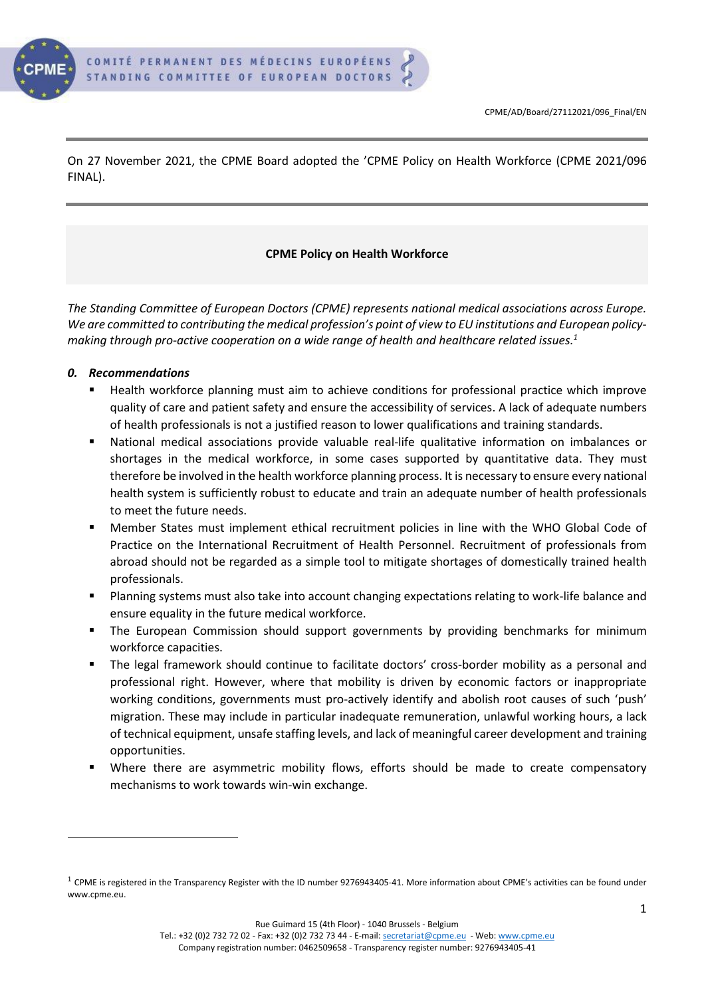

On 27 November 2021, the CPME Board adopted the 'CPME Policy on Health Workforce (CPME 2021/096 FINAL).

#### **CPME Policy on Health Workforce**

*The Standing Committee of European Doctors (CPME) represents national medical associations across Europe.*  We are committed to contributing the medical profession's point of view to EU institutions and *European policymaking through pro-active cooperation on a wide range of health and healthcare related issues.<sup>1</sup>*

#### *0. Recommendations*

- Health workforce planning must aim to achieve conditions for professional practice which improve quality of care and patient safety and ensure the accessibility of services. A lack of adequate numbers of health professionals is not a justified reason to lower qualifications and training standards.
- National medical associations provide valuable real-life qualitative information on imbalances or shortages in the medical workforce, in some cases supported by quantitative data. They must therefore be involved in the health workforce planning process. It is necessary to ensure every national health system is sufficiently robust to educate and train an adequate number of health professionals to meet the future needs.
- **■** Member States must implement ethical recruitment policies in line with the WHO Global Code of Practice on the International Recruitment of Health Personnel. Recruitment of professionals from abroad should not be regarded as a simple tool to mitigate shortages of domestically trained health professionals.
- Planning systems must also take into account changing expectations relating to work-life balance and ensure equality in the future medical workforce.
- **•** The European Commission should support governments by providing benchmarks for minimum workforce capacities.
- The legal framework should continue to facilitate doctors' cross-border mobility as a personal and professional right. However, where that mobility is driven by economic factors or inappropriate working conditions, governments must pro-actively identify and abolish root causes of such 'push' migration. These may include in particular inadequate remuneration, unlawful working hours, a lack of technical equipment, unsafe staffing levels, and lack of meaningful career development and training opportunities.
- Where there are asymmetric mobility flows, efforts should be made to create compensatory mechanisms to work towards win-win exchange.

Rue Guimard 15 (4th Floor) - 1040 Brussels - Belgium

 $^1$  CPME is registered in the Transparency Register with the ID number 9276943405-41. More information about CPME's activities can be found under [www.cpme.eu.](http://www.cpme.eu/)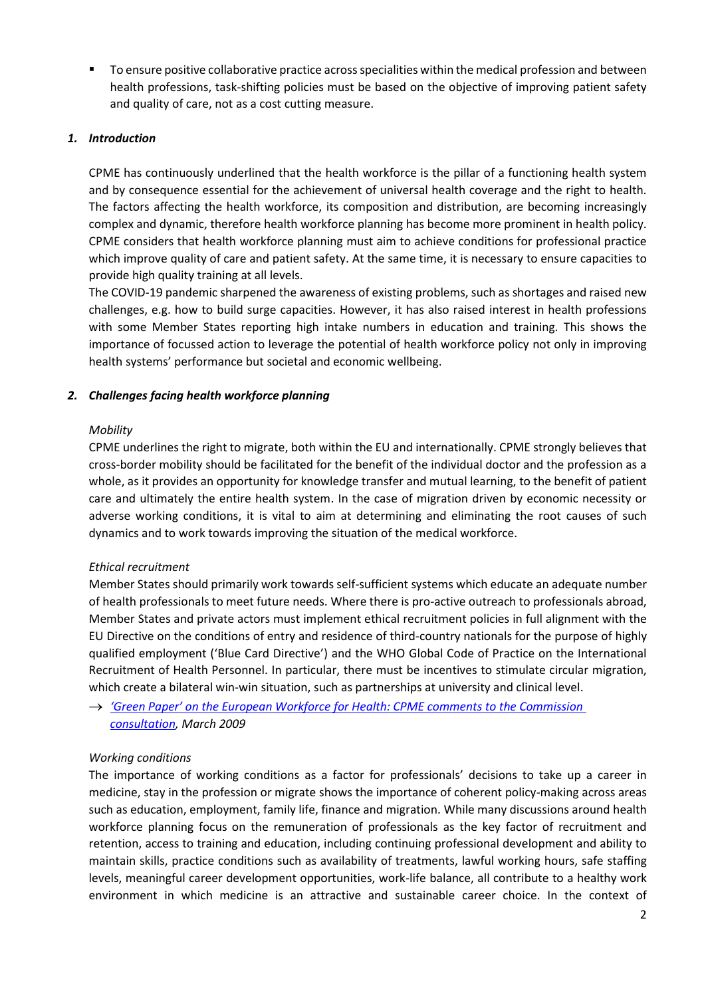**The EXT To ensure positive collaborative practice across specialities within the medical profession and between** health professions, task-shifting policies must be based on the objective of improving patient safety and quality of care, not as a cost cutting measure.

#### *1. Introduction*

CPME has continuously underlined that the health workforce is the pillar of a functioning health system and by consequence essential for the achievement of universal health coverage and the right to health. The factors affecting the health workforce, its composition and distribution, are becoming increasingly complex and dynamic, therefore health workforce planning has become more prominent in health policy. CPME considers that health workforce planning must aim to achieve conditions for professional practice which improve quality of care and patient safety. At the same time, it is necessary to ensure capacities to provide high quality training at all levels.

The COVID-19 pandemic sharpened the awareness of existing problems, such as shortages and raised new challenges, e.g. how to build surge capacities. However, it has also raised interest in health professions with some Member States reporting high intake numbers in education and training. This shows the importance of focussed action to leverage the potential of health workforce policy not only in improving health systems' performance but societal and economic wellbeing.

## *2. Challenges facing health workforce planning*

#### *Mobility*

CPME underlines the right to migrate, both within the EU and internationally. CPME strongly believes that cross-border mobility should be facilitated for the benefit of the individual doctor and the profession as a whole, as it provides an opportunity for knowledge transfer and mutual learning, to the benefit of patient care and ultimately the entire health system. In the case of migration driven by economic necessity or adverse working conditions, it is vital to aim at determining and eliminating the root causes of such dynamics and to work towards improving the situation of the medical workforce.

## *Ethical recruitment*

Member States should primarily work towards self-sufficient systems which educate an adequate number of health professionals to meet future needs. Where there is pro-active outreach to professionals abroad, Member States and private actors must implement ethical recruitment policies in full alignment with the EU Directive on the conditions of entry and residence of third-country nationals for the purpose of highly qualified employment ('Blue Card Directive') and the WHO Global Code of Practice on the International Recruitment of Health Personnel. In particular, there must be incentives to stimulate circular migration, which create a bilateral win-win situation, such as partnerships at university and clinical level.

→ *['Green Paper' on the European Workforce for Health: CPME comments to the Commission](https://www.cpme.eu/wp-content/uploads/adopted/2009/CPME_AD_Brd_140309_034_final_EN.pdf)  [consultation,](https://www.cpme.eu/wp-content/uploads/adopted/2009/CPME_AD_Brd_140309_034_final_EN.pdf) March 2009*

## *Working conditions*

The importance of working conditions as a factor for professionals' decisions to take up a career in medicine, stay in the profession or migrate shows the importance of coherent policy-making across areas such as education, employment, family life, finance and migration. While many discussions around health workforce planning focus on the remuneration of professionals as the key factor of recruitment and retention, access to training and education, including continuing professional development and ability to maintain skills, practice conditions such as availability of treatments, lawful working hours, safe staffing levels, meaningful career development opportunities, work-life balance, all contribute to a healthy work environment in which medicine is an attractive and sustainable career choice. In the context of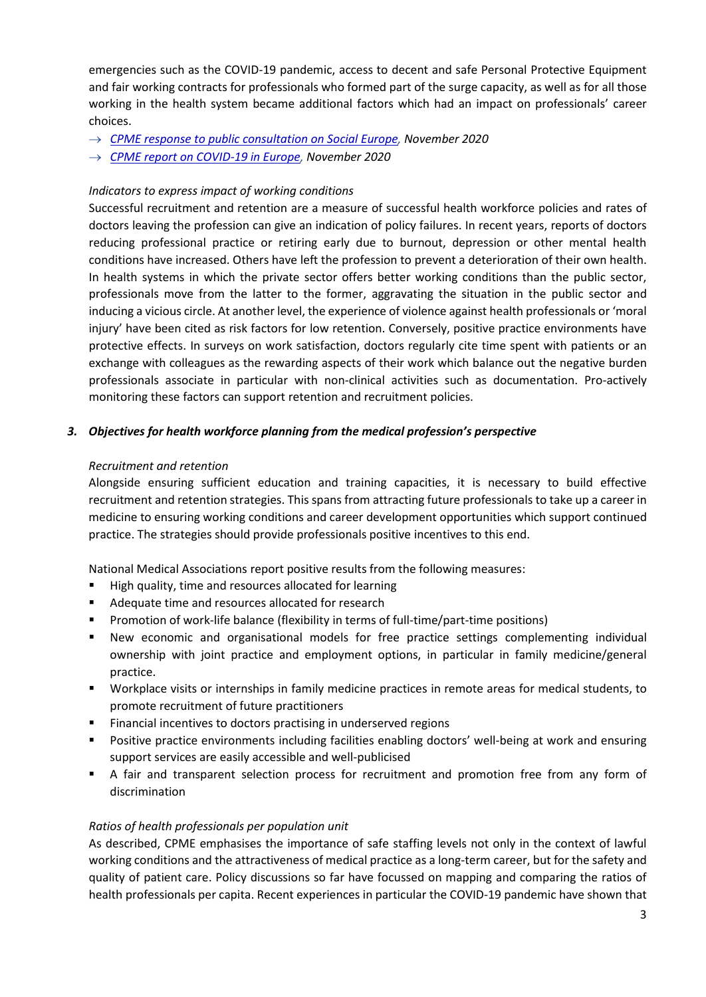emergencies such as the COVID-19 pandemic, access to decent and safe Personal Protective Equipment and fair working contracts for professionals who formed part of the surge capacity, as well as for all those working in the health system became additional factors which had an impact on professionals' career choices.

- → *[CPME response to public consultation on Social Europe,](https://www.cpme.eu/wp-content/uploads/adopted/2020/11/CPME_AD_EC_19112020_114.FINAL_.CPME_.Social.Europe.consultation.response.pdf) November 2020*
- → *[CPME report on COVID-19 in Europe,](https://www.cpme.eu/wp-content/uploads/adopted/2020/11/Info.2020-072.Final_.-Report.COVID-19.pandemic.pdf) November 2020*

## *Indicators to express impact of working conditions*

Successful recruitment and retention are a measure of successful health workforce policies and rates of doctors leaving the profession can give an indication of policy failures. In recent years, reports of doctors reducing professional practice or retiring early due to burnout, depression or other mental health conditions have increased. Others have left the profession to prevent a deterioration of their own health. In health systems in which the private sector offers better working conditions than the public sector, professionals move from the latter to the former, aggravating the situation in the public sector and inducing a vicious circle. At another level, the experience of violence against health professionals or 'moral injury' have been cited as risk factors for low retention. Conversely, positive practice environments have protective effects. In surveys on work satisfaction, doctors regularly cite time spent with patients or an exchange with colleagues as the rewarding aspects of their work which balance out the negative burden professionals associate in particular with non-clinical activities such as documentation. Pro-actively monitoring these factors can support retention and recruitment policies.

# *3. Objectives for health workforce planning from the medical profession's perspective*

## *Recruitment and retention*

Alongside ensuring sufficient education and training capacities, it is necessary to build effective recruitment and retention strategies. This spans from attracting future professionals to take up a career in medicine to ensuring working conditions and career development opportunities which support continued practice. The strategies should provide professionals positive incentives to this end.

National Medical Associations report positive results from the following measures:

- High quality, time and resources allocated for learning
- Adequate time and resources allocated for research
- Promotion of work-life balance (flexibility in terms of full-time/part-time positions)
- New economic and organisational models for free practice settings complementing individual ownership with joint practice and employment options, in particular in family medicine/general practice.
- Workplace visits or internships in family medicine practices in remote areas for medical students, to promote recruitment of future practitioners
- Financial incentives to doctors practising in underserved regions
- Positive practice environments including facilities enabling doctors' well-being at work and ensuring support services are easily accessible and well-publicised
- A fair and transparent selection process for recruitment and promotion free from any form of discrimination

## *Ratios of health professionals per population unit*

As described, CPME emphasises the importance of safe staffing levels not only in the context of lawful working conditions and the attractiveness of medical practice as a long-term career, but for the safety and quality of patient care. Policy discussions so far have focussed on mapping and comparing the ratios of health professionals per capita. Recent experiences in particular the COVID-19 pandemic have shown that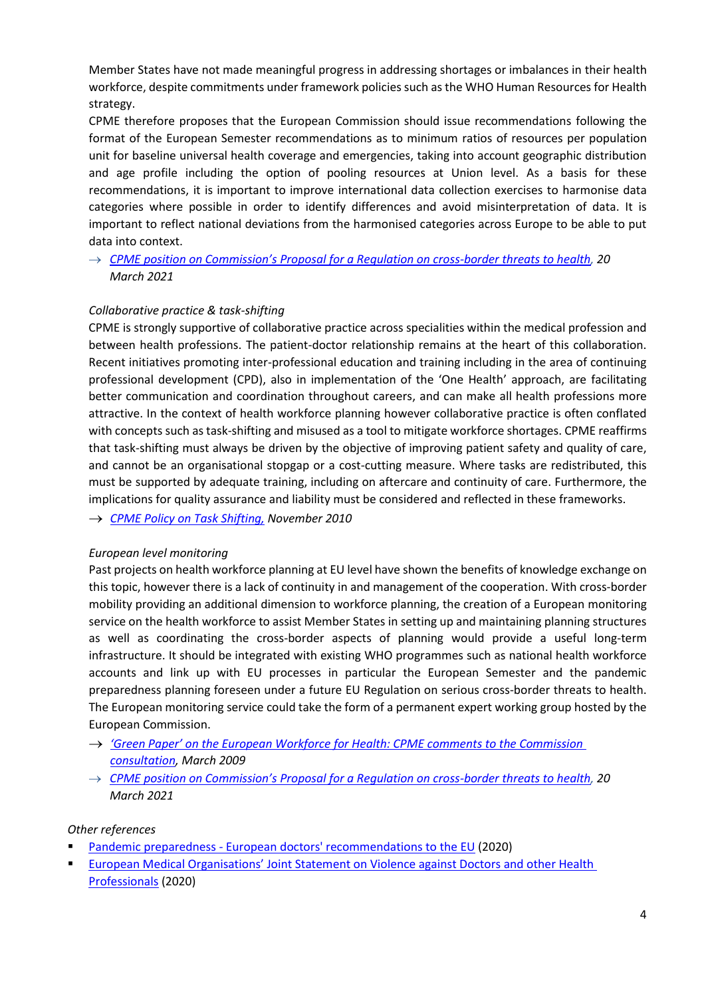Member States have not made meaningful progress in addressing shortages or imbalances in their health workforce, despite commitments under framework policies such as the WHO Human Resources for Health strategy.

CPME therefore proposes that the European Commission should issue recommendations following the format of the European Semester recommendations as to minimum ratios of resources per population unit for baseline universal health coverage and emergencies, taking into account geographic distribution and age profile including the option of pooling resources at Union level. As a basis for these recommendations, it is important to improve international data collection exercises to harmonise data categories where possible in order to identify differences and avoid misinterpretation of data. It is important to reflect national deviations from the harmonised categories across Europe to be able to put data into context.

→ *[CPME position on Commission's Proposal for a Regulation on cro](https://www.cpme.eu/index.php?downloadunprotected=/uploads/adopted/2021/3/CPME_AD_20032021_010.FINAL_.CPME_.position.Proposal.Regulation.serious.crossborder.threats.to_.health.pdf)ss-border threats to health, 20 March 2021*

## *Collaborative practice & task-shifting*

CPME is strongly supportive of collaborative practice across specialities within the medical profession and between health professions. The patient-doctor relationship remains at the heart of this collaboration. Recent initiatives promoting inter-professional education and training including in the area of continuing professional development (CPD), also in implementation of the 'One Health' approach, are facilitating better communication and coordination throughout careers, and can make all health professions more attractive. In the context of health workforce planning however collaborative practice is often conflated with concepts such as task-shifting and misused as a tool to mitigate workforce shortages. CPME reaffirms that task-shifting must always be driven by the objective of improving patient safety and quality of care, and cannot be an organisational stopgap or a cost-cutting measure. Where tasks are redistributed, this must be supported by adequate training, including on aftercare and continuity of care. Furthermore, the implications for quality assurance and liability must be considered and reflected in these frameworks.

→ *[CPME Policy on Task Shifting,](https://www.cpme.eu/wp-content/uploads/adopted/2010/CPME_AD_Brd_27112010_128_final_EN.pdf) November 2010*

#### *European level monitoring*

Past projects on health workforce planning at EU level have shown the benefits of knowledge exchange on this topic, however there is a lack of continuity in and management of the cooperation. With cross-border mobility providing an additional dimension to workforce planning, the creation of a European monitoring service on the health workforce to assist Member States in setting up and maintaining planning structures as well as coordinating the cross-border aspects of planning would provide a useful long-term infrastructure. It should be integrated with existing WHO programmes such as national health workforce accounts and link up with EU processes in particular the European Semester and the pandemic preparedness planning foreseen under a future EU Regulation on serious cross-border threats to health. The European monitoring service could take the form of a permanent expert working group hosted by the European Commission.

- → *['Green Paper' on the European Workforce for Health: CPME comments to the Commission](https://www.cpme.eu/wp-content/uploads/adopted/2009/CPME_AD_Brd_140309_034_final_EN.pdf)  [consultation,](https://www.cpme.eu/wp-content/uploads/adopted/2009/CPME_AD_Brd_140309_034_final_EN.pdf) March 2009*
- → *[CPME position on Commission's Proposal for a Regulation on cross](https://www.cpme.eu/index.php?downloadunprotected=/uploads/adopted/2021/3/CPME_AD_20032021_010.FINAL_.CPME_.position.Proposal.Regulation.serious.crossborder.threats.to_.health.pdf)-border threats to health, 20 March 2021*

#### *Other references*

- **•** Pandemic preparedness [European doctors' recommendations to the EU](https://www.cpme.eu/wp-content/uploads/adopted/2020/11/CPME_AD_Brd_21112020_111.FINAL_.CPME_.COVID19.pandemic.preparedness.lessons.learned.pdf) (2020)
- **European Medical Organisations' Joint Statement on Violence against Doctors and other Health** [Professionals](https://www.cpme.eu/wp-content/uploads/adopted/2020/3/EMOs.Joint_.Statement.on_.Violence.FINAL_.12.03.2020.pdf) (2020)